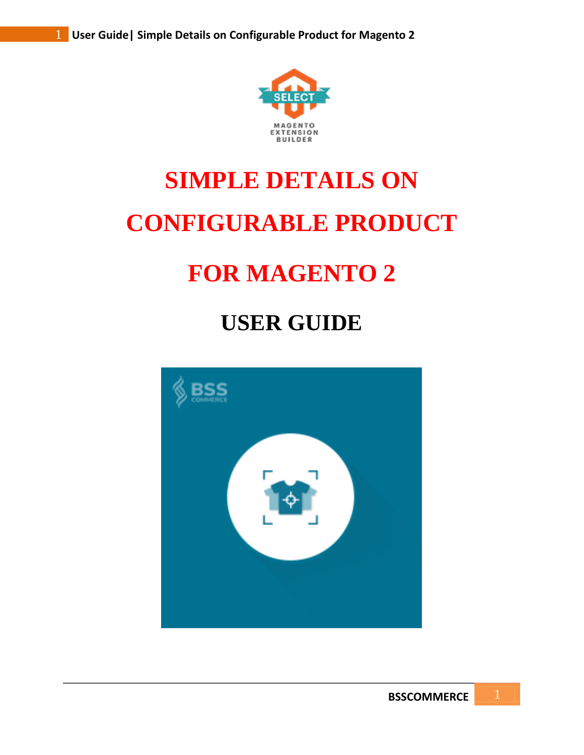

# **SIMPLE DETAILS ON CONFIGURABLE PRODUCT**

# **FOR MAGENTO 2**

# **USER GUIDE**

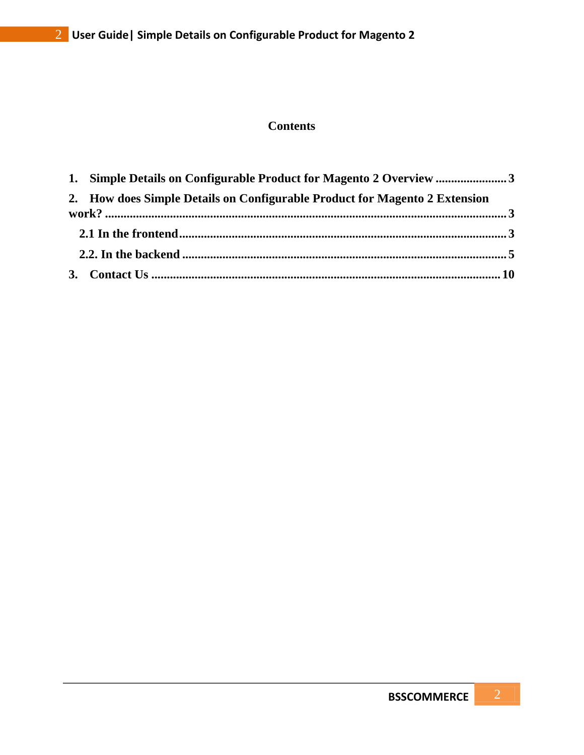# **Contents**

| 2. How does Simple Details on Configurable Product for Magento 2 Extension |  |
|----------------------------------------------------------------------------|--|
|                                                                            |  |
|                                                                            |  |
|                                                                            |  |
|                                                                            |  |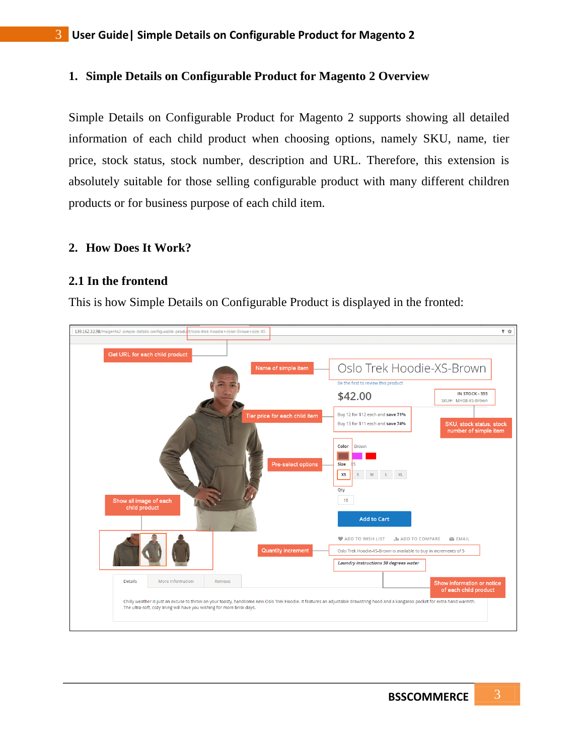#### **1. Simple Details on Configurable Product for Magento 2 Overview**

Simple Details on Configurable Product for Magento 2 supports showing all detailed information of each child product when choosing options, namely SKU, name, tier price, stock status, stock number, description and URL. Therefore, this extension is absolutely suitable for those selling configurable product with many different children products or for business purpose of each child item.

#### **2. How Does It Work?**

#### **2.1 In the frontend**

This is how Simple Details on Configurable Product is displayed in the fronted:

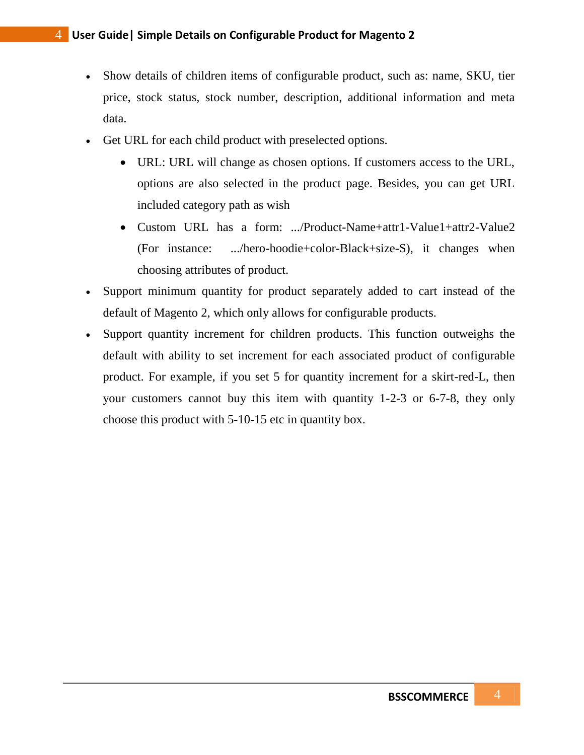- Show details of children items of configurable product, such as: name, SKU, tier price, stock status, stock number, description, additional information and meta data.
- Get URL for each child product with preselected options.
	- URL: URL will change as chosen options. If customers access to the URL, options are also selected in the product page. Besides, you can get URL included category path as wish
	- Custom URL has a form: .../Product-Name+attr1-Value1+attr2-Value2 (For instance: .../hero-hoodie+color-Black+size-S), it changes when choosing attributes of product.
- Support minimum quantity for product separately added to cart instead of the default of Magento 2, which only allows for configurable products.
- Support quantity increment for children products. This function outweighs the default with ability to set increment for each associated product of configurable product. For example, if you set 5 for quantity increment for a skirt-red-L, then your customers cannot buy this item with quantity 1-2-3 or 6-7-8, they only choose this product with 5-10-15 etc in quantity box.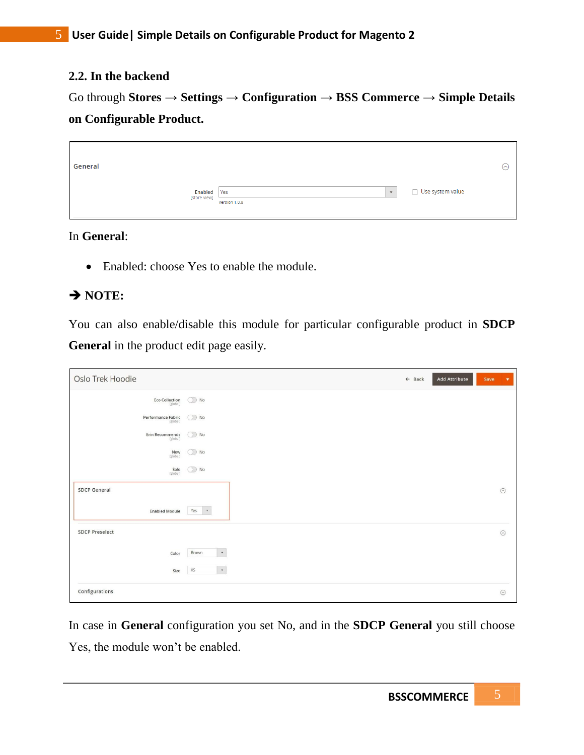### **2.2. In the backend**

Go through **Stores → Settings → Configuration → BSS Commerce → Simple Details on Configurable Product.**

| General                            |                                          |                  |  |
|------------------------------------|------------------------------------------|------------------|--|
| <b>Enabled</b> Yes<br>[store view] | $\overline{\mathbf{v}}$<br>Version 1.0.8 | Use system value |  |

In **General**:

• Enabled: choose Yes to enable the module.

# $\rightarrow$  NOTE:

You can also enable/disable this module for particular configurable product in **SDCP General** in the product edit page easily.

| Oslo Trek Hoodie                             |                    | $\leftarrow$ Back | <b>Add Attribute</b> | Save | $\blacktriangledown$ |
|----------------------------------------------|--------------------|-------------------|----------------------|------|----------------------|
| Eco Collection                               | $\bigcirc$ No      |                   |                      |      |                      |
| Performance Fabric<br>[global]               | $\bigcirc$ No      |                   |                      |      |                      |
| Erin Recommends<br>[global]                  | $\bigcirc$ No      |                   |                      |      |                      |
| $New$ [global]                               | $\bigcirc$ No      |                   |                      |      |                      |
| Sale<br>[global]                             | $\bigcirc$ No      |                   |                      |      |                      |
| <b>SDCP General</b><br><b>Enabled Module</b> | $\,$ $\,$<br>Yes   |                   |                      |      | $\odot$              |
| <b>SDCP Preselect</b>                        |                    |                   |                      |      | $\odot$              |
| Color                                        | $\star$<br>Brown   |                   |                      |      |                      |
| Size                                         | XS<br>$\mathbf{v}$ |                   |                      |      |                      |
| Configurations                               |                    |                   |                      |      | $\odot$              |

In case in **General** configuration you set No, and in the **SDCP General** you still choose Yes, the module won't be enabled.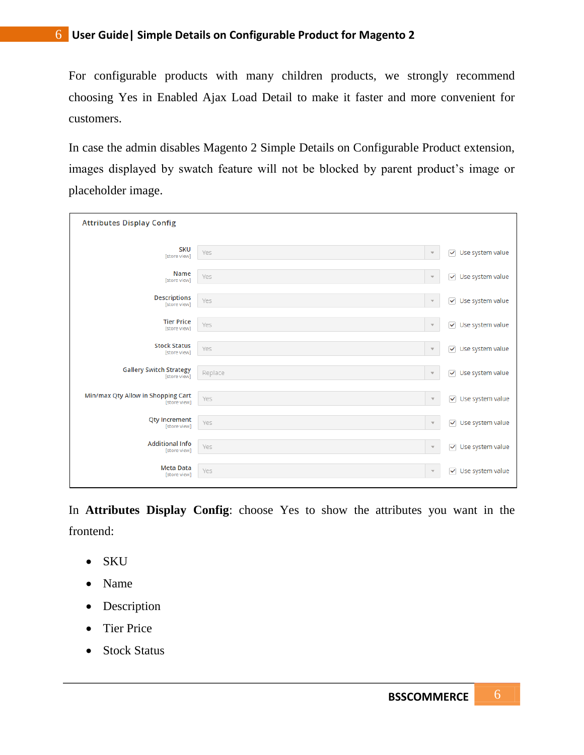For configurable products with many children products, we strongly recommend choosing Yes in Enabled Ajax Load Detail to make it faster and more convenient for customers.

In case the admin disables Magento 2 Simple Details on Configurable Product extension, images displayed by swatch feature will not be blocked by parent product's image or placeholder image.

| <b>Attributes Display Config</b>   |                          |                         |
|------------------------------------|--------------------------|-------------------------|
| <b>SKU</b>                         | Yes                      | Use system value        |
| [store view]                       | $\overline{\mathbf{v}}$  | $\blacktriangledown$    |
| Name                               | Yes                      | Use system value        |
| [store view]                       | $\overline{\mathbf{v}}$  | ✓                       |
| <b>Descriptions</b>                | Yes                      | Use system value        |
| [store view]                       | $\overline{\mathbf{v}}$  | $\checkmark$            |
| <b>Tier Price</b>                  | Yes                      | $\checkmark$            |
| [store view]                       | $\overline{\mathbf{v}}$  | Use system value        |
| <b>Stock Status</b>                | Yes                      | Use system value        |
| [store view]                       | $\overline{\mathbf{v}}$  | ✓                       |
| <b>Gallery Switch Strategy</b>     | Replace                  | Use system value        |
| [store view]                       | $\overline{\mathbf{v}}$  | ✓                       |
| Min/max Qty Allow in Shopping Cart | Yes                      | Use system value        |
| [store view]                       | $\overline{\phantom{a}}$ | $\checkmark$            |
| <b>Qty Increment</b>               | Yes                      | Use system value        |
| [store view]                       | $\overline{\mathbf{v}}$  | $\checkmark$            |
| <b>Additional Info</b>             | Yes                      | $\checkmark$            |
| [store view]                       | $\overline{\mathbf{v}}$  | Use system value        |
| <b>Meta Data</b>                   | Yes                      | $\overline{\mathbf{v}}$ |
| [store view]                       | $\overline{\mathbf{v}}$  | Use system value        |

In **Attributes Display Config**: choose Yes to show the attributes you want in the frontend:

- SKU
- Name
- Description
- Tier Price
- Stock Status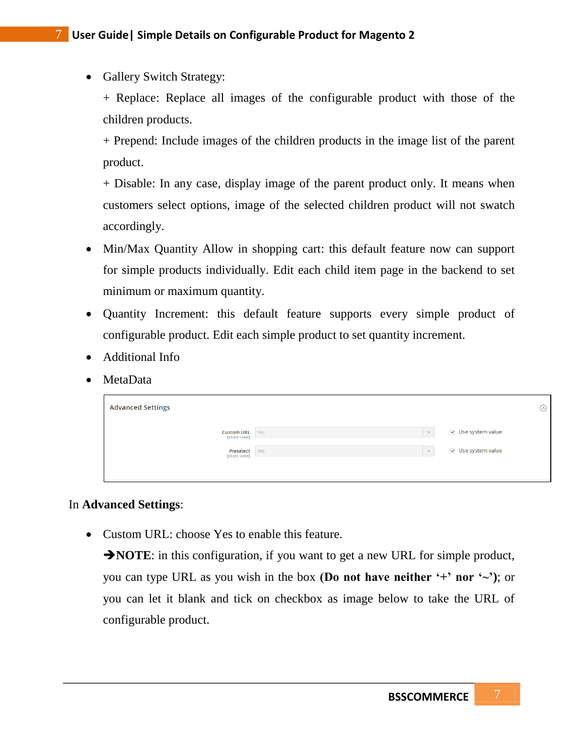• Gallery Switch Strategy:

+ Replace: Replace all images of the configurable product with those of the children products.

+ Prepend: Include images of the children products in the image list of the parent product.

+ Disable: In any case, display image of the parent product only. It means when customers select options, image of the selected children product will not swatch accordingly.

- Min/Max Quantity Allow in shopping cart: this default feature now can support for simple products individually. Edit each child item page in the backend to set minimum or maximum quantity.
- Quantity Increment: this default feature supports every simple product of configurable product. Edit each simple product to set quantity increment.
- Additional Info
- MetaData

| <b>Advanced Settings</b>          |                      | $\odot$                          |
|-----------------------------------|----------------------|----------------------------------|
| <b>Custom URL</b><br>[store view] | Yes<br>$\rightarrow$ | $\vee$ Use system value          |
| Preselect Yes<br>[store view]     | $\sim$               | $\triangledown$ Use system value |
|                                   |                      |                                  |

### In **Advanced Settings**:

• Custom URL: choose Yes to enable this feature.

**NOTE:** in this configuration, if you want to get a new URL for simple product, you can type URL as you wish in the box **(Do not have neither '+' nor '** $\sim$ '); or you can let it blank and tick on checkbox as image below to take the URL of configurable product.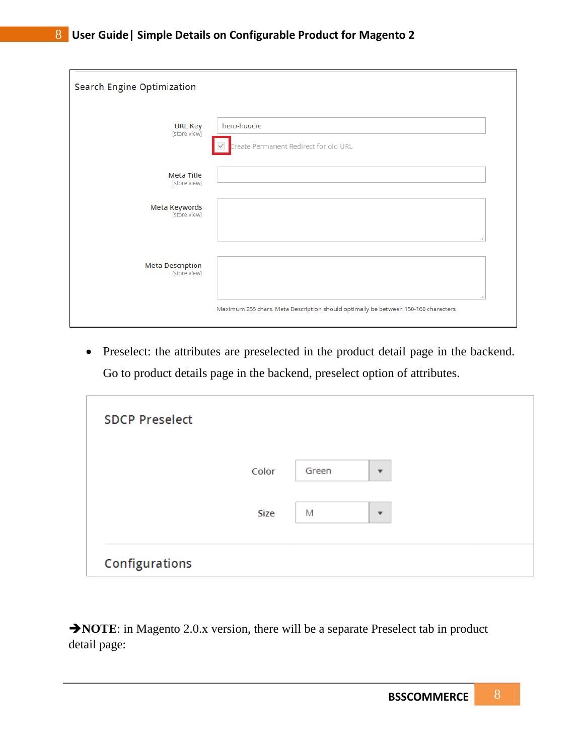| <b>Search Engine Optimization</b>       |                                                                                    |  |  |  |
|-----------------------------------------|------------------------------------------------------------------------------------|--|--|--|
| <b>URL Key</b><br>[store view]          | hero-hoodie<br>Create Permanent Redirect for old URL                               |  |  |  |
| <b>Meta Title</b><br>[store view]       |                                                                                    |  |  |  |
| Meta Keywords<br>[store view]           | d                                                                                  |  |  |  |
| <b>Meta Description</b><br>[store view] | лÎ                                                                                 |  |  |  |
|                                         | Maximum 255 chars. Meta Description should optimally be between 150-160 characters |  |  |  |

 Preselect: the attributes are preselected in the product detail page in the backend. Go to product details page in the backend, preselect option of attributes.

| <b>SDCP Preselect</b> |             |       |                         |  |
|-----------------------|-------------|-------|-------------------------|--|
|                       | Color       | Green | $\overline{\mathbf{v}}$ |  |
|                       | <b>Size</b> | M     | $\mathbf{v}$            |  |
| Configurations        |             |       |                         |  |

**NOTE:** in Magento 2.0.x version, there will be a separate Preselect tab in product detail page: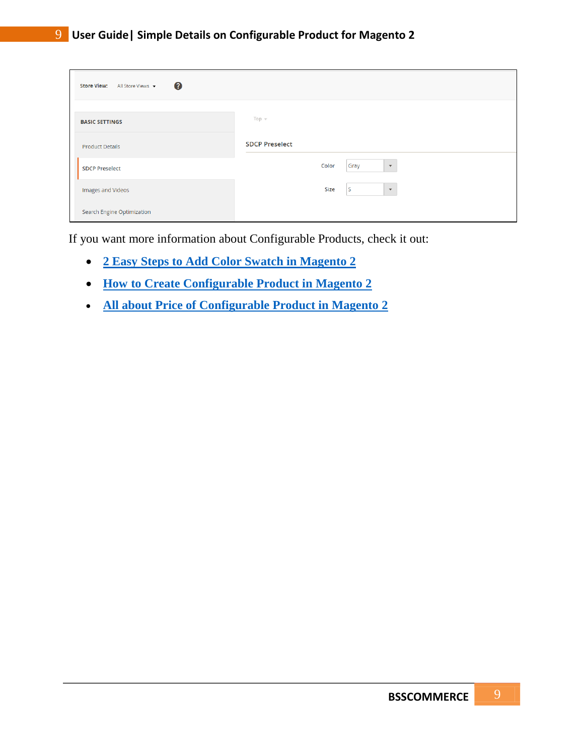| 0<br><b>Store View:</b><br>All Store Views v |                               |  |  |  |
|----------------------------------------------|-------------------------------|--|--|--|
| <b>BASIC SETTINGS</b>                        | Top $\forall$                 |  |  |  |
| <b>Product Details</b>                       | <b>SDCP Preselect</b>         |  |  |  |
| <b>SDCP Preselect</b>                        | Color<br>Gray<br>$\mathbf{v}$ |  |  |  |
| Images and Videos                            | l S<br>Size<br>$\mathbf{v}$   |  |  |  |
| <b>Search Engine Optimization</b>            |                               |  |  |  |

If you want more information about Configurable Products, check it out:

- **[2 Easy Steps to Add Color Swatch in Magento 2](https://bsscommerce.com/blog/2-easy-steps-to-add-color-swatch-in-magento-2/)**
- **[How to Create Configurable Product in Magento 2](https://bsscommerce.com/blog/how-to-create-configurable-products-in-magento-2/)**
- **[All about Price of Configurable Product in Magento 2](https://bsscommerce.com/blog/all-you-need-to-know-about-price-of-configurable-product-in-magento-2/)**